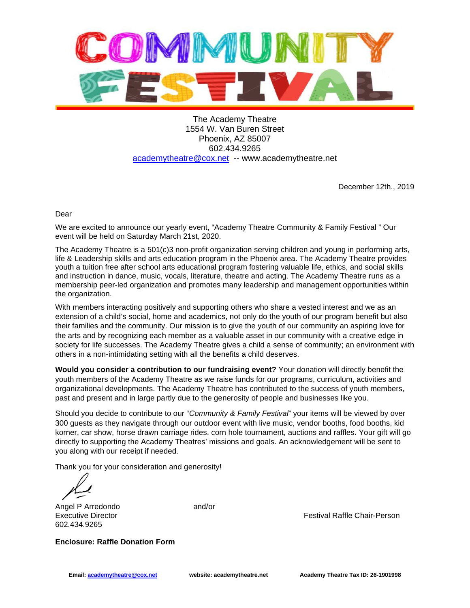

The Academy Theatre 1554 W. Van Buren Street Phoenix, AZ 85007 602.434.9265 academytheatre@cox.net -- www.academytheatre.net

December 12th., 2019

Dear

We are excited to announce our yearly event, "Academy Theatre Community & Family Festival " Our event will be held on Saturday March 21st, 2020.

The Academy Theatre is a 501(c)3 non-profit organization serving children and young in performing arts, life & Leadership skills and arts education program in the Phoenix area. The Academy Theatre provides youth a tuition free after school arts educational program fostering valuable life, ethics, and social skills and instruction in dance, music, vocals, literature, theatre and acting. The Academy Theatre runs as a membership peer-led organization and promotes many leadership and management opportunities within the organization.

With members interacting positively and supporting others who share a vested interest and we as an extension of a child's social, home and academics, not only do the youth of our program benefit but also their families and the community. Our mission is to give the youth of our community an aspiring love for the arts and by recognizing each member as a valuable asset in our community with a creative edge in society for life successes. The Academy Theatre gives a child a sense of community; an environment with others in a non-intimidating setting with all the benefits a child deserves.

**Would you consider a contribution to our fundraising event?** Your donation will directly benefit the youth members of the Academy Theatre as we raise funds for our programs, curriculum, activities and organizational developments. The Academy Theatre has contributed to the success of youth members, past and present and in large partly due to the generosity of people and businesses like you.

Should you decide to contribute to our "Community & Family Festival" your items will be viewed by over 300 guests as they navigate through our outdoor event with live music, vendor booths, food booths, kid korner, car show, horse drawn carriage rides, corn hole tournament, auctions and raffles. Your gift will go directly to supporting the Academy Theatres' missions and goals. An acknowledgement will be sent to you along with our receipt if needed.

Thank you for your consideration and generosity!

Angel P Arredondo and/or 602.434.9265

Executive Director **Festival Raffle Chair-Person** 

**Enclosure: Raffle Donation Form**